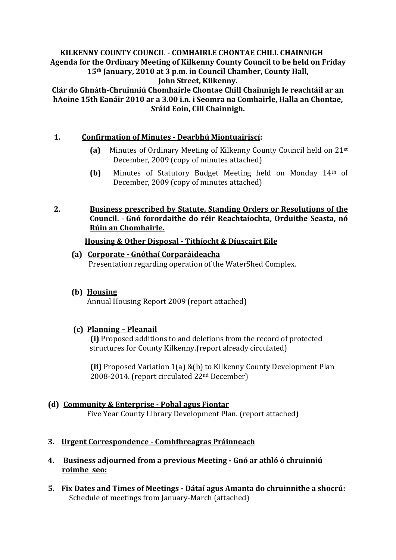#### **KILKENNY COUNTY COUNCIL - COMHAIRLE CHONTAE CHILL CHAINNIGH Agenda for the Ordinary Meeting of Kilkenny County Council to be held on Friday 15th January, 2010 at 3 p.m. in Council Chamber, County Hall, John Street, Kilkenny.**

**Clár do Ghnáth-Chruinniú Chomhairle Chontae Chill Chainnigh le reachtáil ar an hAoine 15th Eanáir 2010 ar a 3.00 i.n. i Seomra na Comhairle, Halla an Chontae, Sráid Eoin, Cill Chainnigh.**

## **1. Confirmation of Minutes - Dearbhú Miontuairiscí:**

- **(a)** Minutes of Ordinary Meeting of Kilkenny County Council held on 21st December, 2009 (copy of minutes attached)
- **(b)** Minutes of Statutory Budget Meeting held on Monday 14th of December, 2009 (copy of minutes attached)

#### **2. Business prescribed by Statute, Standing Orders or Resolutions of the Council.** - **Gnó forordaithe do réir Reachtaíochta, Orduithe Seasta, nó Rúin an Chomhairle.**

#### **Housing & Other Disposal - Tithíocht & Díuscairt Eile**

- **(a) Corporate - Gnóthaí Corparáideacha** Presentation regarding operation of the WaterShed Complex.
- **(b) Housing**

Annual Housing Report 2009 (report attached)

## **(c) Planning – Pleanail**

**(i)** Proposed additions to and deletions from the record of protected structures for County Kilkenny.(report already circulated)

**(ii)** Proposed Variation 1(a) &(b) to Kilkenny County Development Plan 2008-2014. (report circulated 22nd December)

# **(d) Community & Enterprise - Pobal agus Fiontar**

Five Year County Library Development Plan. (report attached)

- **3. Urgent Correspondence - Comhfhreagras Práinneach**
- **4. Business adjourned from a previous Meeting - Gnó ar athló ó chruinniú roimhe seo:**
- **5. Fix Dates and Times of Meetings - Dátaí agus Amanta do chruinnithe a shocrú:** Schedule of meetings from January-March (attached)